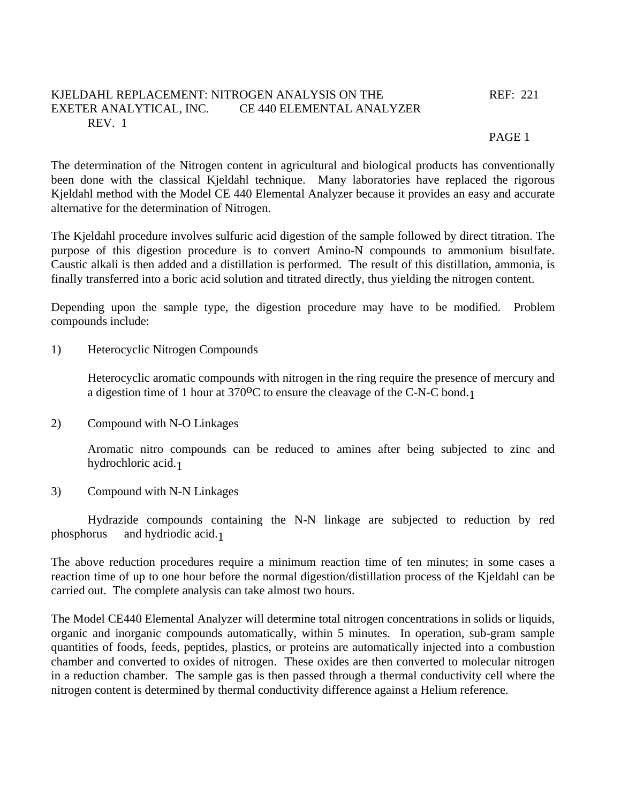## KJELDAHL REPLACEMENT: NITROGEN ANALYSIS ON THE REF: 221 EXETER ANALYTICAL, INC. CE 440 ELEMENTAL ANALYZER REV. 1

## PAGE 1

The determination of the Nitrogen content in agricultural and biological products has conventionally been done with the classical Kjeldahl technique. Many laboratories have replaced the rigorous Kjeldahl method with the Model CE 440 Elemental Analyzer because it provides an easy and accurate alternative for the determination of Nitrogen.

The Kjeldahl procedure involves sulfuric acid digestion of the sample followed by direct titration. The purpose of this digestion procedure is to convert Amino-N compounds to ammonium bisulfate. Caustic alkali is then added and a distillation is performed. The result of this distillation, ammonia, is finally transferred into a boric acid solution and titrated directly, thus yielding the nitrogen content.

Depending upon the sample type, the digestion procedure may have to be modified. Problem compounds include:

1) Heterocyclic Nitrogen Compounds

 Heterocyclic aromatic compounds with nitrogen in the ring require the presence of mercury and a digestion time of 1 hour at 370<sup>o</sup>C to ensure the cleavage of the C-N-C bond.<sub>1</sub>

2) Compound with N-O Linkages

 Aromatic nitro compounds can be reduced to amines after being subjected to zinc and hydrochloric acid.1

3) Compound with N-N Linkages

 Hydrazide compounds containing the N-N linkage are subjected to reduction by red phosphorus and hydriodic acid.1

The above reduction procedures require a minimum reaction time of ten minutes; in some cases a reaction time of up to one hour before the normal digestion/distillation process of the Kjeldahl can be carried out. The complete analysis can take almost two hours.

The Model CE440 Elemental Analyzer will determine total nitrogen concentrations in solids or liquids, organic and inorganic compounds automatically, within 5 minutes. In operation, sub-gram sample quantities of foods, feeds, peptides, plastics, or proteins are automatically injected into a combustion chamber and converted to oxides of nitrogen. These oxides are then converted to molecular nitrogen in a reduction chamber. The sample gas is then passed through a thermal conductivity cell where the nitrogen content is determined by thermal conductivity difference against a Helium reference.